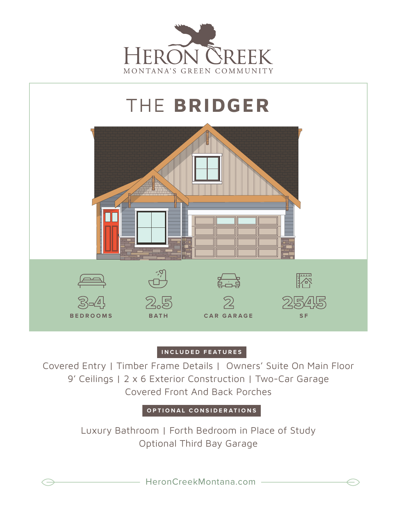



## **INCLUDED FEATURES**

Covered Entry | Timber Frame Details | Owners' Suite On Main Floor 9' Ceilings | 2 x 6 Exterior Construction | Two-Car Garage Covered Front And Back Porches

**OPTIONAL CONSIDERATIONS**

Luxury Bathroom | Forth Bedroom in Place of Study Optional Third Bay Garage

HeronCreekMontana.com